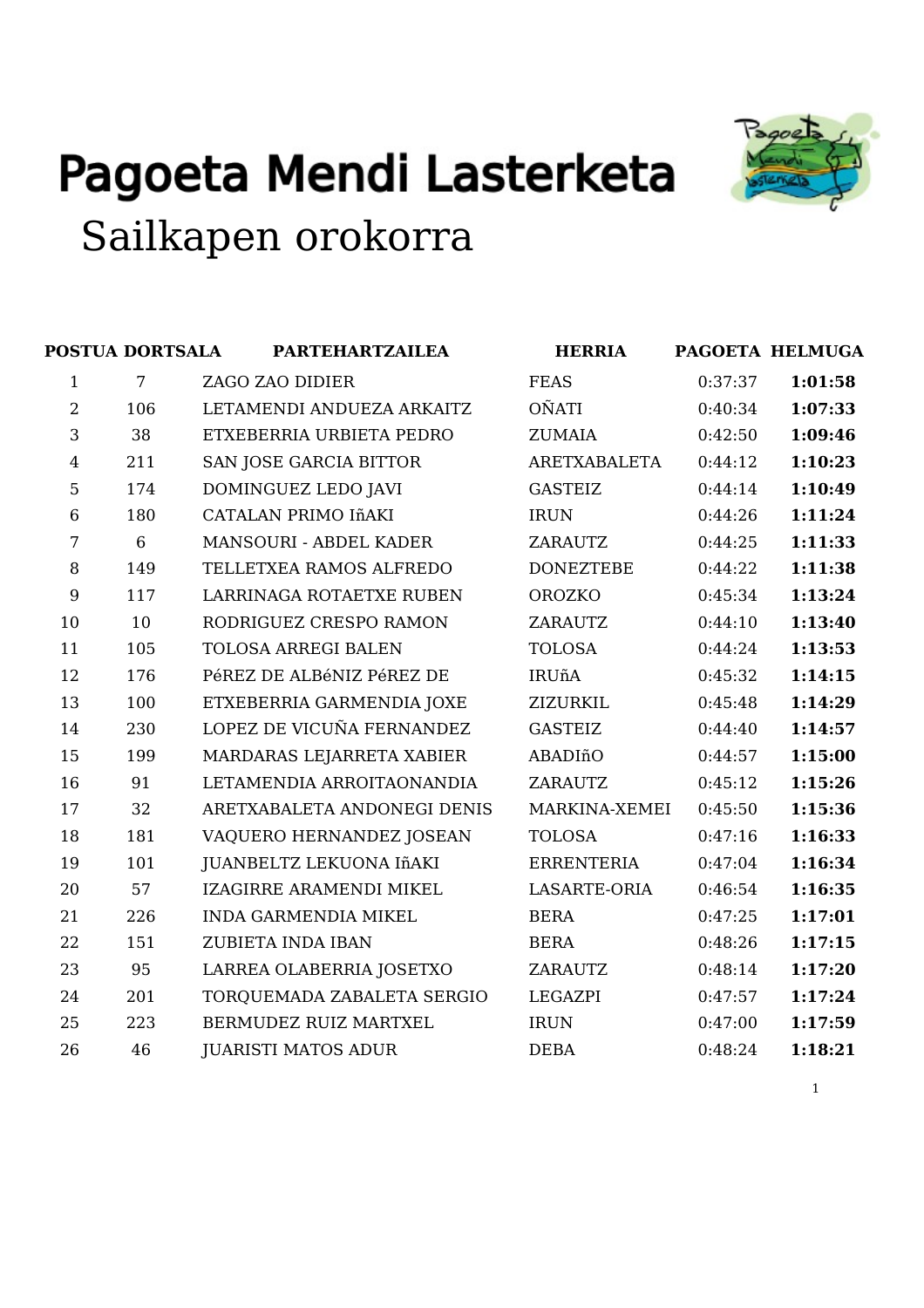



|                | POSTUA DORTSALA | <b>PARTEHARTZAILEA</b>      | <b>HERRIA</b>     |         | PAGOETA HELMUGA |
|----------------|-----------------|-----------------------------|-------------------|---------|-----------------|
| 1              | 7               | ZAGO ZAO DIDIER             | <b>FEAS</b>       | 0:37:37 | 1:01:58         |
| $\overline{2}$ | 106             | LETAMENDI ANDUEZA ARKAITZ   | <b>OÑATI</b>      | 0:40:34 | 1:07:33         |
| 3              | 38              | ETXEBERRIA URBIETA PEDRO    | ZUMAIA            | 0:42:50 | 1:09:46         |
| $\overline{4}$ | 211             | SAN JOSE GARCIA BITTOR      | ARETXABALETA      | 0:44:12 | 1:10:23         |
| 5              | 174             | DOMINGUEZ LEDO JAVI         | <b>GASTEIZ</b>    | 0:44:14 | 1:10:49         |
| $\,6$          | 180             | CATALAN PRIMO IñAKI         | <b>IRUN</b>       | 0:44:26 | 1:11:24         |
| 7              | 6               | MANSOURI - ABDEL KADER      | ZARAUTZ           | 0:44:25 | 1:11:33         |
| 8              | 149             | TELLETXEA RAMOS ALFREDO     | <b>DONEZTEBE</b>  | 0:44:22 | 1:11:38         |
| 9              | 117             | LARRINAGA ROTAETXE RUBEN    | OROZKO            | 0:45:34 | 1:13:24         |
| 10             | 10              | RODRIGUEZ CRESPO RAMON      | ZARAUTZ           | 0:44:10 | 1:13:40         |
| 11             | 105             | <b>TOLOSA ARREGI BALEN</b>  | <b>TOLOSA</b>     | 0:44:24 | 1:13:53         |
| 12             | 176             | PéREZ DE ALBéNIZ PéREZ DE   | <b>IRUñA</b>      | 0:45:32 | 1:14:15         |
| 13             | 100             | ETXEBERRIA GARMENDIA JOXE   | ZIZURKIL          | 0:45:48 | 1:14:29         |
| 14             | 230             | LOPEZ DE VICUÑA FERNANDEZ   | <b>GASTEIZ</b>    | 0:44:40 | 1:14:57         |
| 15             | 199             | MARDARAS LEJARRETA XABIER   | ABADIñO           | 0:44:57 | 1:15:00         |
| 16             | 91              | LETAMENDIA ARROITAONANDIA   | ZARAUTZ           | 0:45:12 | 1:15:26         |
| 17             | 32              | ARETXABALETA ANDONEGI DENIS | MARKINA-XEMEI     | 0:45:50 | 1:15:36         |
| 18             | 181             | VAQUERO HERNANDEZ JOSEAN    | <b>TOLOSA</b>     | 0:47:16 | 1:16:33         |
| 19             | 101             | JUANBELTZ LEKUONA IñAKI     | <b>ERRENTERIA</b> | 0:47:04 | 1:16:34         |
| 20             | 57              | IZAGIRRE ARAMENDI MIKEL     | LASARTE-ORIA      | 0:46:54 | 1:16:35         |
| 21             | 226             | <b>INDA GARMENDIA MIKEL</b> | <b>BERA</b>       | 0:47:25 | 1:17:01         |
| 22             | 151             | ZUBIETA INDA IBAN           | <b>BERA</b>       | 0:48:26 | 1:17:15         |
| 23             | 95              | LARREA OLABERRIA JOSETXO    | <b>ZARAUTZ</b>    | 0:48:14 | 1:17:20         |
| 24             | 201             | TORQUEMADA ZABALETA SERGIO  | <b>LEGAZPI</b>    | 0:47:57 | 1:17:24         |
| 25             | 223             | BERMUDEZ RUIZ MARTXEL       | <b>IRUN</b>       | 0:47:00 | 1:17:59         |
| 26             | 46              | <b>JUARISTI MATOS ADUR</b>  | <b>DEBA</b>       | 0:48:24 | 1:18:21         |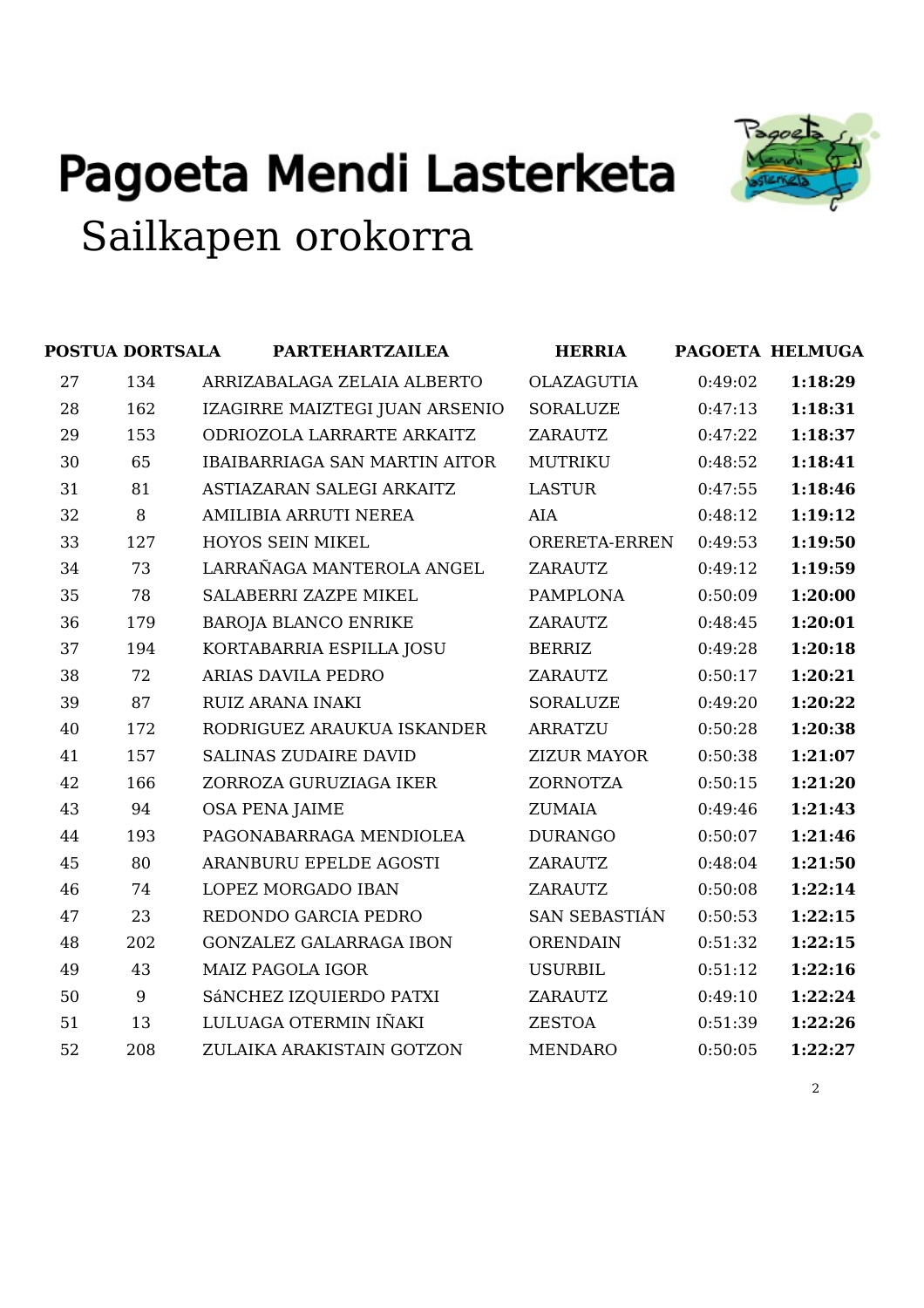

|    | POSTUA DORTSALA | <b>PARTEHARTZAILEA</b>               | <b>HERRIA</b>        |         | PAGOETA HELMUGA |
|----|-----------------|--------------------------------------|----------------------|---------|-----------------|
| 27 | 134             | ARRIZABALAGA ZELAIA ALBERTO          | <b>OLAZAGUTIA</b>    | 0:49:02 | 1:18:29         |
| 28 | 162             | IZAGIRRE MAIZTEGI JUAN ARSENIO       | <b>SORALUZE</b>      | 0:47:13 | 1:18:31         |
| 29 | 153             | ODRIOZOLA LARRARTE ARKAITZ           | <b>ZARAUTZ</b>       | 0:47:22 | 1:18:37         |
| 30 | 65              | <b>IBAIBARRIAGA SAN MARTIN AITOR</b> | <b>MUTRIKU</b>       | 0:48:52 | 1:18:41         |
| 31 | 81              | ASTIAZARAN SALEGI ARKAITZ            | <b>LASTUR</b>        | 0:47:55 | 1:18:46         |
| 32 | 8               | AMILIBIA ARRUTI NEREA                | <b>AIA</b>           | 0:48:12 | 1:19:12         |
| 33 | 127             | HOYOS SEIN MIKEL                     | ORERETA-ERREN        | 0:49:53 | 1:19:50         |
| 34 | 73              | LARRAÑAGA MANTEROLA ANGEL            | ZARAUTZ              | 0:49:12 | 1:19:59         |
| 35 | 78              | SALABERRI ZAZPE MIKEL                | <b>PAMPLONA</b>      | 0:50:09 | 1:20:00         |
| 36 | 179             | <b>BAROJA BLANCO ENRIKE</b>          | <b>ZARAUTZ</b>       | 0:48:45 | 1:20:01         |
| 37 | 194             | KORTABARRIA ESPILLA JOSU             | <b>BERRIZ</b>        | 0:49:28 | 1:20:18         |
| 38 | 72              | ARIAS DAVILA PEDRO                   | <b>ZARAUTZ</b>       | 0:50:17 | 1:20:21         |
| 39 | 87              | <b>RUIZ ARANA INAKI</b>              | <b>SORALUZE</b>      | 0:49:20 | 1:20:22         |
| 40 | 172             | RODRIGUEZ ARAUKUA ISKANDER           | <b>ARRATZU</b>       | 0:50:28 | 1:20:38         |
| 41 | 157             | <b>SALINAS ZUDAIRE DAVID</b>         | <b>ZIZUR MAYOR</b>   | 0:50:38 | 1:21:07         |
| 42 | 166             | ZORROZA GURUZIAGA IKER               | <b>ZORNOTZA</b>      | 0:50:15 | 1:21:20         |
| 43 | 94              | <b>OSA PENA JAIME</b>                | <b>ZUMAIA</b>        | 0:49:46 | 1:21:43         |
| 44 | 193             | PAGONABARRAGA MENDIOLEA              | <b>DURANGO</b>       | 0:50:07 | 1:21:46         |
| 45 | 80              | ARANBURU EPELDE AGOSTI               | <b>ZARAUTZ</b>       | 0:48:04 | 1:21:50         |
| 46 | 74              | LOPEZ MORGADO IBAN                   | <b>ZARAUTZ</b>       | 0:50:08 | 1:22:14         |
| 47 | 23              | REDONDO GARCIA PEDRO                 | <b>SAN SEBASTIÁN</b> | 0:50:53 | 1:22:15         |
| 48 | 202             | <b>GONZALEZ GALARRAGA IBON</b>       | <b>ORENDAIN</b>      | 0:51:32 | 1:22:15         |
| 49 | 43              | <b>MAIZ PAGOLA IGOR</b>              | <b>USURBIL</b>       | 0:51:12 | 1:22:16         |
| 50 | 9               | SÁNCHEZ IZQUIERDO PATXI              | ZARAUTZ              | 0:49:10 | 1:22:24         |
| 51 | 13              | LULUAGA OTERMIN IÑAKI                | <b>ZESTOA</b>        | 0:51:39 | 1:22:26         |
| 52 | 208             | ZULAIKA ARAKISTAIN GOTZON            | <b>MENDARO</b>       | 0:50:05 | 1:22:27         |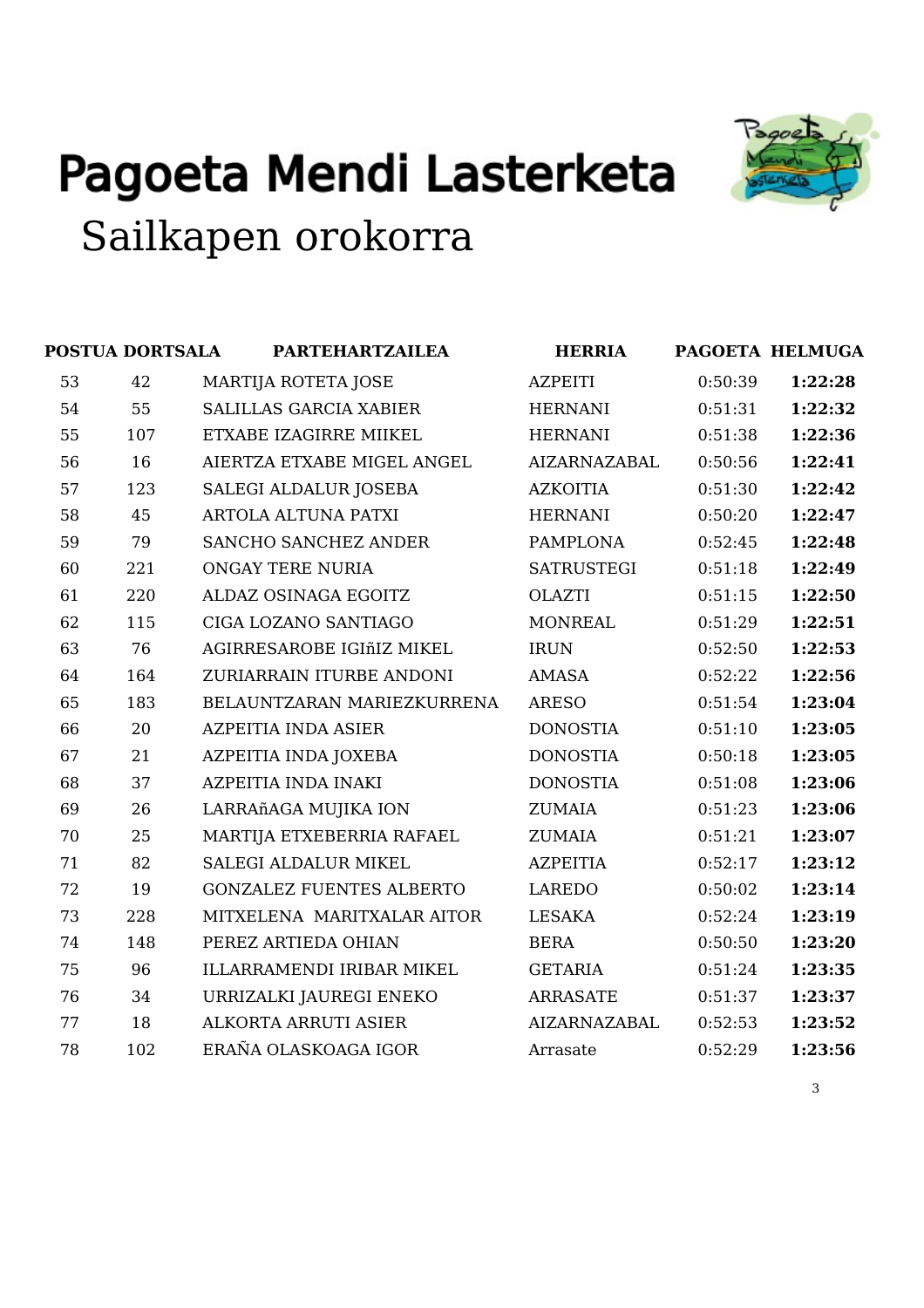

|    | POSTUA DORTSALA | <b>PARTEHARTZAILEA</b>          | <b>HERRIA</b>       |         | PAGOETA HELMUGA |
|----|-----------------|---------------------------------|---------------------|---------|-----------------|
| 53 | 42              | MARTIJA ROTETA JOSE             | <b>AZPEITI</b>      | 0:50:39 | 1:22:28         |
| 54 | 55              | <b>SALILLAS GARCIA XABIER</b>   | <b>HERNANI</b>      | 0:51:31 | 1:22:32         |
| 55 | 107             | ETXABE IZAGIRRE MIIKEL          | <b>HERNANI</b>      | 0:51:38 | 1:22:36         |
| 56 | 16              | AIERTZA ETXABE MIGEL ANGEL      | <b>AIZARNAZABAL</b> | 0:50:56 | 1:22:41         |
| 57 | 123             | SALEGI ALDALUR JOSEBA           | <b>AZKOITIA</b>     | 0:51:30 | 1:22:42         |
| 58 | 45              | <b>ARTOLA ALTUNA PATXI</b>      | <b>HERNANI</b>      | 0:50:20 | 1:22:47         |
| 59 | 79              | SANCHO SANCHEZ ANDER            | <b>PAMPLONA</b>     | 0:52:45 | 1:22:48         |
| 60 | 221             | <b>ONGAY TERE NURIA</b>         | <b>SATRUSTEGI</b>   | 0:51:18 | 1:22:49         |
| 61 | 220             | ALDAZ OSINAGA EGOITZ            | <b>OLAZTI</b>       | 0:51:15 | 1:22:50         |
| 62 | 115             | CIGA LOZANO SANTIAGO            | <b>MONREAL</b>      | 0:51:29 | 1:22:51         |
| 63 | 76              | AGIRRESAROBE IGIñIZ MIKEL       | <b>IRUN</b>         | 0:52:50 | 1:22:53         |
| 64 | 164             | ZURIARRAIN ITURBE ANDONI        | <b>AMASA</b>        | 0:52:22 | 1:22:56         |
| 65 | 183             | BELAUNTZARAN MARIEZKURRENA      | <b>ARESO</b>        | 0:51:54 | 1:23:04         |
| 66 | 20              | <b>AZPEITIA INDA ASIER</b>      | <b>DONOSTIA</b>     | 0:51:10 | 1:23:05         |
| 67 | 21              | AZPEITIA INDA JOXEBA            | <b>DONOSTIA</b>     | 0:50:18 | 1:23:05         |
| 68 | 37              | <b>AZPEITIA INDA INAKI</b>      | <b>DONOSTIA</b>     | 0:51:08 | 1:23:06         |
| 69 | 26              | LARRAñAGA MUJIKA ION            | <b>ZUMAIA</b>       | 0:51:23 | 1:23:06         |
| 70 | 25              | MARTIJA ETXEBERRIA RAFAEL       | ZUMAIA              | 0:51:21 | 1:23:07         |
| 71 | 82              | SALEGI ALDALUR MIKEL            | <b>AZPEITIA</b>     | 0:52:17 | 1:23:12         |
| 72 | 19              | <b>GONZALEZ FUENTES ALBERTO</b> | LAREDO              | 0:50:02 | 1:23:14         |
| 73 | 228             | MITXELENA MARITXALAR AITOR      | <b>LESAKA</b>       | 0:52:24 | 1:23:19         |
| 74 | 148             | PEREZ ARTIEDA OHIAN             | <b>BERA</b>         | 0:50:50 | 1:23:20         |
| 75 | 96              | ILLARRAMENDI IRIBAR MIKEL       | <b>GETARIA</b>      | 0:51:24 | 1:23:35         |
| 76 | 34              | URRIZALKI JAUREGI ENEKO         | <b>ARRASATE</b>     | 0:51:37 | 1:23:37         |
| 77 | 18              | ALKORTA ARRUTI ASIER            | <b>AIZARNAZABAL</b> | 0:52:53 | 1:23:52         |
| 78 | 102             | ERAÑA OLASKOAGA IGOR            | Arrasate            | 0:52:29 | 1:23:56         |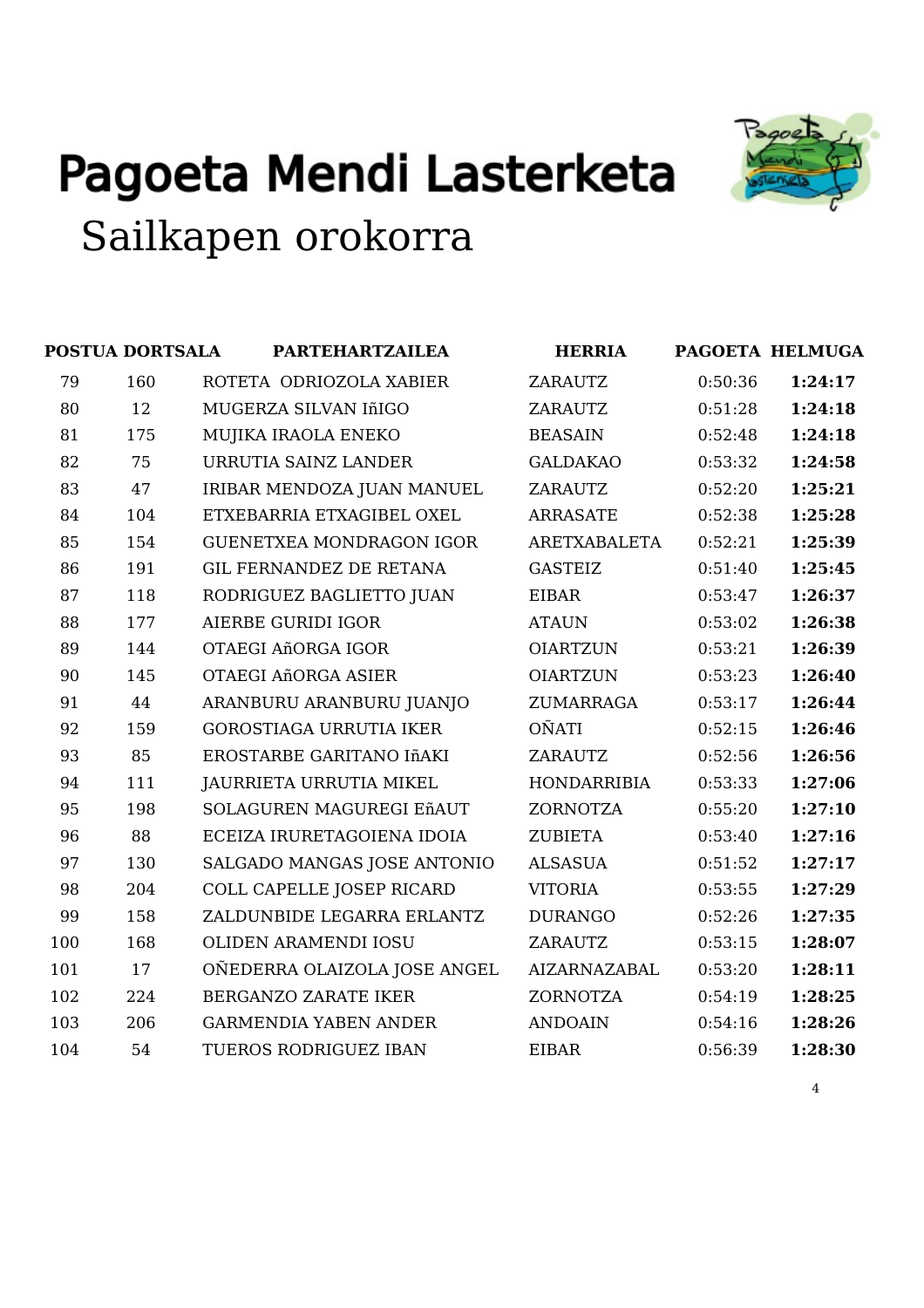

|     | POSTUA DORTSALA | <b>PARTEHARTZAILEA</b>          | <b>HERRIA</b>       |         | PAGOETA HELMUGA |
|-----|-----------------|---------------------------------|---------------------|---------|-----------------|
| 79  | 160             | ROTETA ODRIOZOLA XABIER         | <b>ZARAUTZ</b>      | 0:50:36 | 1:24:17         |
| 80  | 12              | MUGERZA SILVAN IñIGO            | <b>ZARAUTZ</b>      | 0:51:28 | 1:24:18         |
| 81  | 175             | MUJIKA IRAOLA ENEKO             | <b>BEASAIN</b>      | 0:52:48 | 1:24:18         |
| 82  | 75              | URRUTIA SAINZ LANDER            | <b>GALDAKAO</b>     | 0:53:32 | 1:24:58         |
| 83  | 47              | IRIBAR MENDOZA JUAN MANUEL      | <b>ZARAUTZ</b>      | 0:52:20 | 1:25:21         |
| 84  | 104             | ETXEBARRIA ETXAGIBEL OXEL       | <b>ARRASATE</b>     | 0:52:38 | 1:25:28         |
| 85  | 154             | <b>GUENETXEA MONDRAGON IGOR</b> | ARETXABALETA        | 0:52:21 | 1:25:39         |
| 86  | 191             | <b>GIL FERNANDEZ DE RETANA</b>  | <b>GASTEIZ</b>      | 0:51:40 | 1:25:45         |
| 87  | 118             | RODRIGUEZ BAGLIETTO JUAN        | <b>EIBAR</b>        | 0:53:47 | 1:26:37         |
| 88  | 177             | <b>AIERBE GURIDI IGOR</b>       | <b>ATAUN</b>        | 0:53:02 | 1:26:38         |
| 89  | 144             | OTAEGI AñORGA IGOR              | <b>OIARTZUN</b>     | 0:53:21 | 1:26:39         |
| 90  | 145             | OTAEGI AñORGA ASIER             | <b>OIARTZUN</b>     | 0:53:23 | 1:26:40         |
| 91  | 44              | ARANBURU ARANBURU JUANJO        | ZUMARRAGA           | 0:53:17 | 1:26:44         |
| 92  | 159             | <b>GOROSTIAGA URRUTIA IKER</b>  | <b>OÑATI</b>        | 0:52:15 | 1:26:46         |
| 93  | 85              | EROSTARBE GARITANO IñAKI        | ZARAUTZ             | 0:52:56 | 1:26:56         |
| 94  | 111             | JAURRIETA URRUTIA MIKEL         | <b>HONDARRIBIA</b>  | 0:53:33 | 1:27:06         |
| 95  | 198             | SOLAGUREN MAGUREGI EñAUT        | <b>ZORNOTZA</b>     | 0:55:20 | 1:27:10         |
| 96  | 88              | ECEIZA IRURETAGOIENA IDOIA      | <b>ZUBIETA</b>      | 0:53:40 | 1:27:16         |
| 97  | 130             | SALGADO MANGAS JOSE ANTONIO     | <b>ALSASUA</b>      | 0:51:52 | 1:27:17         |
| 98  | 204             | COLL CAPELLE JOSEP RICARD       | <b>VITORIA</b>      | 0:53:55 | 1:27:29         |
| 99  | 158             | ZALDUNBIDE LEGARRA ERLANTZ      | <b>DURANGO</b>      | 0:52:26 | 1:27:35         |
| 100 | 168             | OLIDEN ARAMENDI IOSU            | <b>ZARAUTZ</b>      | 0:53:15 | 1:28:07         |
| 101 | 17              | OÑEDERRA OLAIZOLA JOSE ANGEL    | <b>AIZARNAZABAL</b> | 0:53:20 | 1:28:11         |
| 102 | 224             | BERGANZO ZARATE IKER            | ZORNOTZA            | 0:54:19 | 1:28:25         |
| 103 | 206             | <b>GARMENDIA YABEN ANDER</b>    | <b>ANDOAIN</b>      | 0:54:16 | 1:28:26         |
| 104 | 54              | TUEROS RODRIGUEZ IBAN           | <b>EIBAR</b>        | 0:56:39 | 1:28:30         |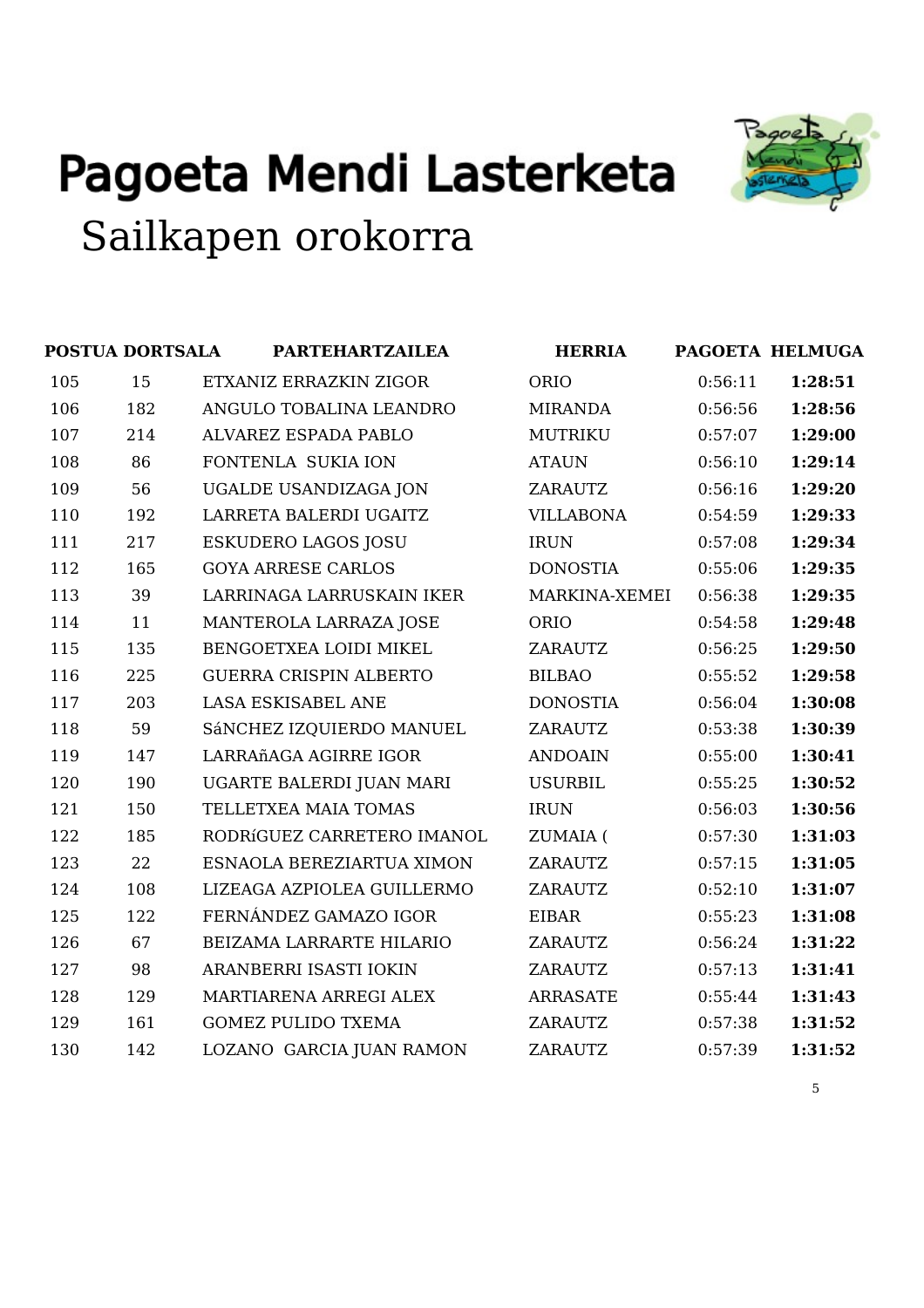



|     | <b>POSTUA DORTSALA</b> | <b>PARTEHARTZAILEA</b>        | <b>HERRIA</b>    |         | PAGOETA HELMUGA |
|-----|------------------------|-------------------------------|------------------|---------|-----------------|
| 105 | 15                     | ETXANIZ ERRAZKIN ZIGOR        | ORIO             | 0:56:11 | 1:28:51         |
| 106 | 182                    | ANGULO TOBALINA LEANDRO       | <b>MIRANDA</b>   | 0:56:56 | 1:28:56         |
| 107 | 214                    | ALVAREZ ESPADA PABLO          | <b>MUTRIKU</b>   | 0:57:07 | 1:29:00         |
| 108 | 86                     | FONTENLA SUKIA ION            | <b>ATAUN</b>     | 0:56:10 | 1:29:14         |
| 109 | 56                     | <b>UGALDE USANDIZAGA JON</b>  | <b>ZARAUTZ</b>   | 0:56:16 | 1:29:20         |
| 110 | 192                    | LARRETA BALERDI UGAITZ        | <b>VILLABONA</b> | 0:54:59 | 1:29:33         |
| 111 | 217                    | <b>ESKUDERO LAGOS JOSU</b>    | <b>IRUN</b>      | 0:57:08 | 1:29:34         |
| 112 | 165                    | <b>GOYA ARRESE CARLOS</b>     | <b>DONOSTIA</b>  | 0:55:06 | 1:29:35         |
| 113 | 39                     | LARRINAGA LARRUSKAIN IKER     | MARKINA-XEMEI    | 0:56:38 | 1:29:35         |
| 114 | 11                     | MANTEROLA LARRAZA JOSE        | ORIO             | 0:54:58 | 1:29:48         |
| 115 | 135                    | BENGOETXEA LOIDI MIKEL        | ZARAUTZ          | 0:56:25 | 1:29:50         |
| 116 | 225                    | <b>GUERRA CRISPIN ALBERTO</b> | <b>BILBAO</b>    | 0:55:52 | 1:29:58         |
| 117 | 203                    | LASA ESKISABEL ANE            | <b>DONOSTIA</b>  | 0:56:04 | 1:30:08         |
| 118 | 59                     | SÁNCHEZ IZQUIERDO MANUEL      | <b>ZARAUTZ</b>   | 0:53:38 | 1:30:39         |
| 119 | 147                    | LARRAñAGA AGIRRE IGOR         | <b>ANDOAIN</b>   | 0:55:00 | 1:30:41         |
| 120 | 190                    | UGARTE BALERDI JUAN MARI      | <b>USURBIL</b>   | 0:55:25 | 1:30:52         |
| 121 | 150                    | TELLETXEA MAIA TOMAS          | <b>IRUN</b>      | 0:56:03 | 1:30:56         |
| 122 | 185                    | RODRÍGUEZ CARRETERO IMANOL    | ZUMAIA (         | 0:57:30 | 1:31:03         |
| 123 | 22                     | ESNAOLA BEREZIARTUA XIMON     | <b>ZARAUTZ</b>   | 0:57:15 | 1:31:05         |
| 124 | 108                    | LIZEAGA AZPIOLEA GUILLERMO    | <b>ZARAUTZ</b>   | 0:52:10 | 1:31:07         |
| 125 | 122                    | FERNÁNDEZ GAMAZO IGOR         | <b>EIBAR</b>     | 0:55:23 | 1:31:08         |
| 126 | 67                     | BEIZAMA LARRARTE HILARIO      | <b>ZARAUTZ</b>   | 0:56:24 | 1:31:22         |
| 127 | 98                     | ARANBERRI ISASTI IOKIN        | ZARAUTZ          | 0:57:13 | 1:31:41         |
| 128 | 129                    | MARTIARENA ARREGI ALEX        | <b>ARRASATE</b>  | 0:55:44 | 1:31:43         |
| 129 | 161                    | <b>GOMEZ PULIDO TXEMA</b>     | <b>ZARAUTZ</b>   | 0:57:38 | 1:31:52         |
| 130 | 142                    | LOZANO GARCIA JUAN RAMON      | <b>ZARAUTZ</b>   | 0:57:39 | 1:31:52         |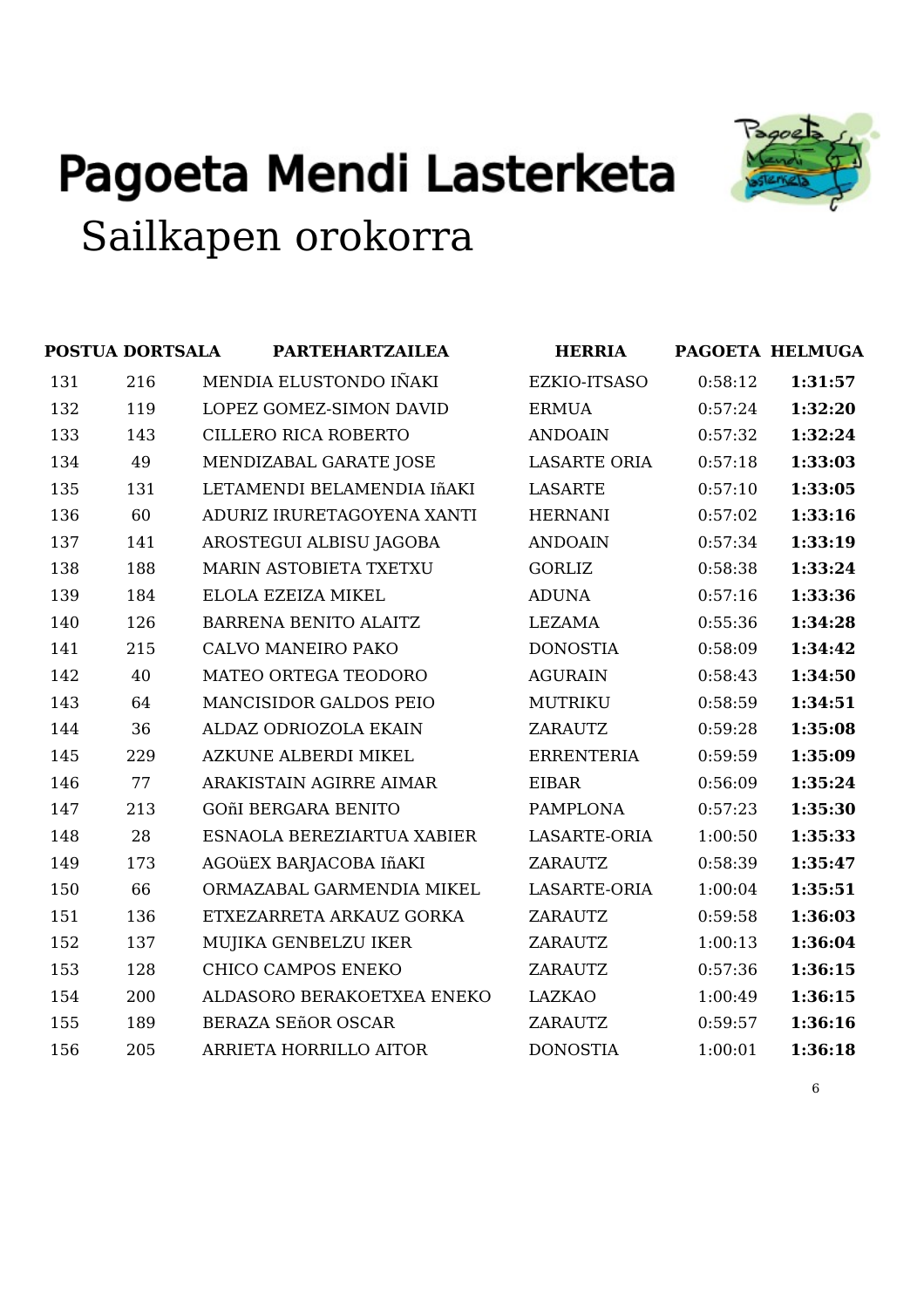

|     | <b>POSTUA DORTSALA</b> | <b>PARTEHARTZAILEA</b>      | <b>HERRIA</b>       |         | PAGOETA HELMUGA |
|-----|------------------------|-----------------------------|---------------------|---------|-----------------|
| 131 | 216                    | MENDIA ELUSTONDO IÑAKI      | EZKIO-ITSASO        | 0:58:12 | 1:31:57         |
| 132 | 119                    | LOPEZ GOMEZ-SIMON DAVID     | <b>ERMUA</b>        | 0:57:24 | 1:32:20         |
| 133 | 143                    | CILLERO RICA ROBERTO        | <b>ANDOAIN</b>      | 0:57:32 | 1:32:24         |
| 134 | 49                     | MENDIZABAL GARATE JOSE      | <b>LASARTE ORIA</b> | 0:57:18 | 1:33:03         |
| 135 | 131                    | LETAMENDI BELAMENDIA IñAKI  | <b>LASARTE</b>      | 0:57:10 | 1:33:05         |
| 136 | 60                     | ADURIZ IRURETAGOYENA XANTI  | <b>HERNANI</b>      | 0:57:02 | 1:33:16         |
| 137 | 141                    | AROSTEGUI ALBISU JAGOBA     | <b>ANDOAIN</b>      | 0:57:34 | 1:33:19         |
| 138 | 188                    | MARIN ASTOBIETA TXETXU      | <b>GORLIZ</b>       | 0:58:38 | 1:33:24         |
| 139 | 184                    | ELOLA EZEIZA MIKEL          | <b>ADUNA</b>        | 0:57:16 | 1:33:36         |
| 140 | 126                    | BARRENA BENITO ALAITZ       | <b>LEZAMA</b>       | 0:55:36 | 1:34:28         |
| 141 | 215                    | CALVO MANEIRO PAKO          | <b>DONOSTIA</b>     | 0:58:09 | 1:34:42         |
| 142 | 40                     | MATEO ORTEGA TEODORO        | <b>AGURAIN</b>      | 0:58:43 | 1:34:50         |
| 143 | 64                     | MANCISIDOR GALDOS PEIO      | <b>MUTRIKU</b>      | 0:58:59 | 1:34:51         |
| 144 | 36                     | ALDAZ ODRIOZOLA EKAIN       | <b>ZARAUTZ</b>      | 0:59:28 | 1:35:08         |
| 145 | 229                    | <b>AZKUNE ALBERDI MIKEL</b> | <b>ERRENTERIA</b>   | 0:59:59 | 1:35:09         |
| 146 | 77                     | ARAKISTAIN AGIRRE AIMAR     | <b>EIBAR</b>        | 0:56:09 | 1:35:24         |
| 147 | 213                    | <b>GOñI BERGARA BENITO</b>  | <b>PAMPLONA</b>     | 0:57:23 | 1:35:30         |
| 148 | 28                     | ESNAOLA BEREZIARTUA XABIER  | <b>LASARTE-ORIA</b> | 1:00:50 | 1:35:33         |
| 149 | 173                    | AGOÜEX BARJACOBA IñAKI      | <b>ZARAUTZ</b>      | 0:58:39 | 1:35:47         |
| 150 | 66                     | ORMAZABAL GARMENDIA MIKEL   | <b>LASARTE-ORIA</b> | 1:00:04 | 1:35:51         |
| 151 | 136                    | ETXEZARRETA ARKAUZ GORKA    | <b>ZARAUTZ</b>      | 0:59:58 | 1:36:03         |
| 152 | 137                    | MUJIKA GENBELZU IKER        | <b>ZARAUTZ</b>      | 1:00:13 | 1:36:04         |
| 153 | 128                    | <b>CHICO CAMPOS ENEKO</b>   | <b>ZARAUTZ</b>      | 0:57:36 | 1:36:15         |
| 154 | 200                    | ALDASORO BERAKOETXEA ENEKO  | <b>LAZKAO</b>       | 1:00:49 | 1:36:15         |
| 155 | 189                    | <b>BERAZA SEñOR OSCAR</b>   | <b>ZARAUTZ</b>      | 0:59:57 | 1:36:16         |
| 156 | 205                    | ARRIETA HORRILLO AITOR      | <b>DONOSTIA</b>     | 1:00:01 | 1:36:18         |
|     |                        |                             |                     |         |                 |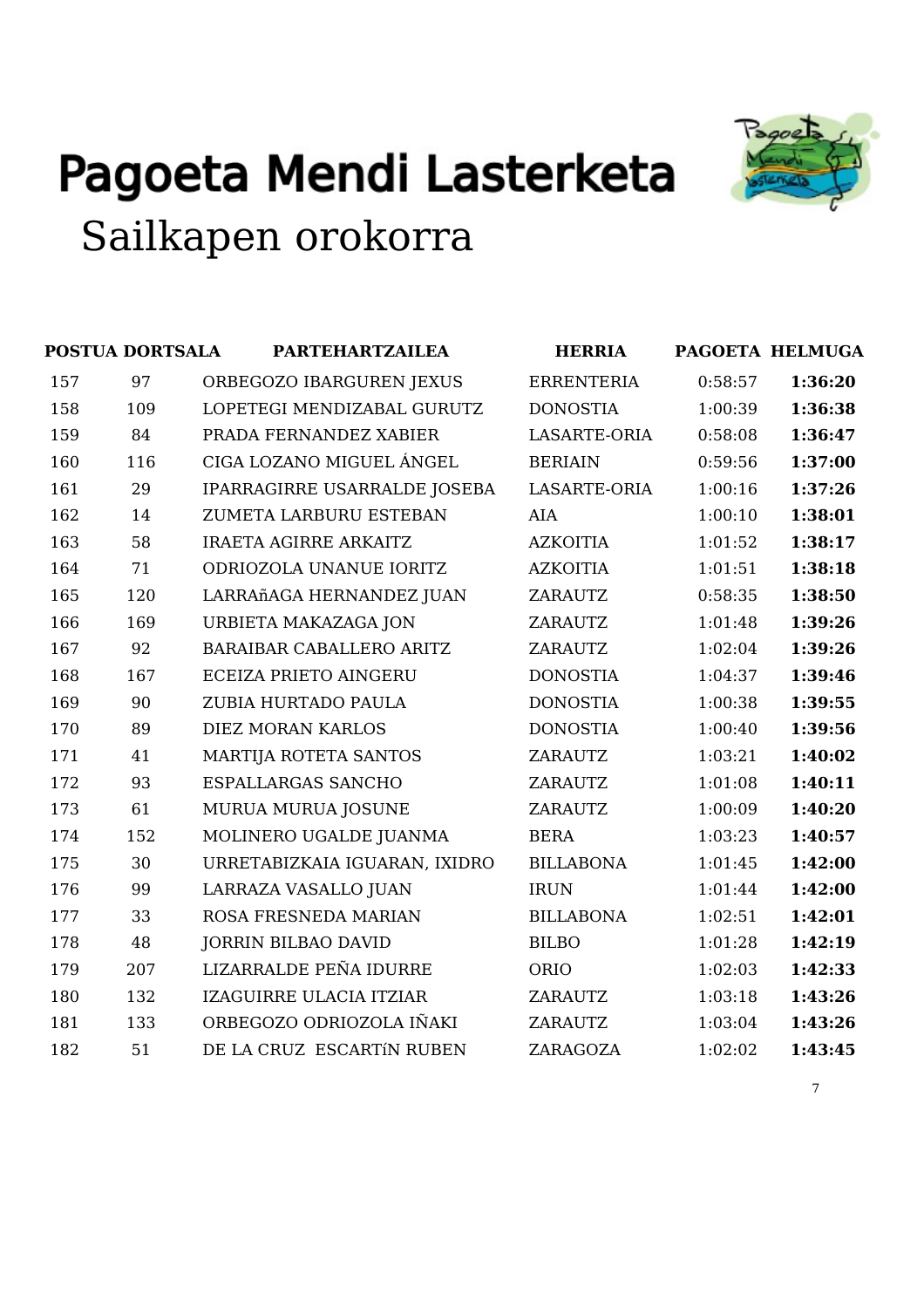



|     | <b>POSTUA DORTSALA</b> | <b>PARTEHARTZAILEA</b>          | <b>HERRIA</b>       |         | PAGOETA HELMUGA |
|-----|------------------------|---------------------------------|---------------------|---------|-----------------|
| 157 | 97                     | ORBEGOZO IBARGUREN JEXUS        | <b>ERRENTERIA</b>   | 0:58:57 | 1:36:20         |
| 158 | 109                    | LOPETEGI MENDIZABAL GURUTZ      | <b>DONOSTIA</b>     | 1:00:39 | 1:36:38         |
| 159 | 84                     | PRADA FERNANDEZ XABIER          | <b>LASARTE-ORIA</b> | 0:58:08 | 1:36:47         |
| 160 | 116                    | CIGA LOZANO MIGUEL ÁNGEL        | <b>BERIAIN</b>      | 0:59:56 | 1:37:00         |
| 161 | 29                     | IPARRAGIRRE USARRALDE JOSEBA    | <b>LASARTE-ORIA</b> | 1:00:16 | 1:37:26         |
| 162 | 14                     | ZUMETA LARBURU ESTEBAN          | AIA                 | 1:00:10 | 1:38:01         |
| 163 | 58                     | <b>IRAETA AGIRRE ARKAITZ</b>    | <b>AZKOITIA</b>     | 1:01:52 | 1:38:17         |
| 164 | 71                     | ODRIOZOLA UNANUE IORITZ         | <b>AZKOITIA</b>     | 1:01:51 | 1:38:18         |
| 165 | 120                    | LARRAñAGA HERNANDEZ JUAN        | <b>ZARAUTZ</b>      | 0:58:35 | 1:38:50         |
| 166 | 169                    | URBIETA MAKAZAGA JON            | <b>ZARAUTZ</b>      | 1:01:48 | 1:39:26         |
| 167 | 92                     | <b>BARAIBAR CABALLERO ARITZ</b> | <b>ZARAUTZ</b>      | 1:02:04 | 1:39:26         |
| 168 | 167                    | <b>ECEIZA PRIETO AINGERU</b>    | <b>DONOSTIA</b>     | 1:04:37 | 1:39:46         |
| 169 | 90                     | ZUBIA HURTADO PAULA             | <b>DONOSTIA</b>     | 1:00:38 | 1:39:55         |
| 170 | 89                     | DIEZ MORAN KARLOS               | <b>DONOSTIA</b>     | 1:00:40 | 1:39:56         |
| 171 | 41                     | <b>MARTIJA ROTETA SANTOS</b>    | ZARAUTZ             | 1:03:21 | 1:40:02         |
| 172 | 93                     | <b>ESPALLARGAS SANCHO</b>       | ZARAUTZ             | 1:01:08 | 1:40:11         |
| 173 | 61                     | MURUA MURUA JOSUNE              | <b>ZARAUTZ</b>      | 1:00:09 | 1:40:20         |
| 174 | 152                    | MOLINERO UGALDE JUANMA          | <b>BERA</b>         | 1:03:23 | 1:40:57         |
| 175 | 30                     | URRETABIZKAIA IGUARAN, IXIDRO   | <b>BILLABONA</b>    | 1:01:45 | 1:42:00         |
| 176 | 99                     | LARRAZA VASALLO JUAN            | <b>IRUN</b>         | 1:01:44 | 1:42:00         |
| 177 | 33                     | ROSA FRESNEDA MARIAN            | <b>BILLABONA</b>    | 1:02:51 | 1:42:01         |
| 178 | 48                     | <b>JORRIN BILBAO DAVID</b>      | <b>BILBO</b>        | 1:01:28 | 1:42:19         |
| 179 | 207                    | LIZARRALDE PEÑA IDURRE          | ORIO                | 1:02:03 | 1:42:33         |
| 180 | 132                    | IZAGUIRRE ULACIA ITZIAR         | <b>ZARAUTZ</b>      | 1:03:18 | 1:43:26         |
| 181 | 133                    | ORBEGOZO ODRIOZOLA IÑAKI        | <b>ZARAUTZ</b>      | 1:03:04 | 1:43:26         |
| 182 | 51                     | DE LA CRUZ ESCARTÍN RUBEN       | ZARAGOZA            | 1:02:02 | 1:43:45         |